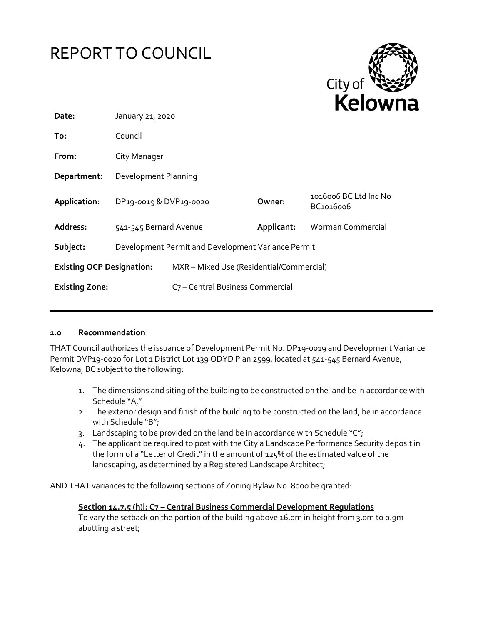



| Date:                            | January 21, 2020                                   |                                              |            |                                    |  |
|----------------------------------|----------------------------------------------------|----------------------------------------------|------------|------------------------------------|--|
| To:                              | Council                                            |                                              |            |                                    |  |
| From:                            | City Manager                                       |                                              |            |                                    |  |
| Department:                      | Development Planning                               |                                              |            |                                    |  |
| Application:                     | DP19-0019 & DVP19-0020                             |                                              | Owner:     | 1016006 BC Ltd Inc No<br>BC1016006 |  |
| Address:                         | 541-545 Bernard Avenue                             |                                              | Applicant: | Worman Commercial                  |  |
| Subject:                         | Development Permit and Development Variance Permit |                                              |            |                                    |  |
| <b>Existing OCP Designation:</b> |                                                    | MXR - Mixed Use (Residential/Commercial)     |            |                                    |  |
| <b>Existing Zone:</b>            |                                                    | C <sub>7</sub> - Central Business Commercial |            |                                    |  |

#### **1.0 Recommendation**

THAT Council authorizes the issuance of Development Permit No. DP19-0019 and Development Variance Permit DVP19-0020 for Lot 1 District Lot 139 ODYD Plan 2599, located at 541-545 Bernard Avenue, Kelowna, BC subject to the following:

- 1. The dimensions and siting of the building to be constructed on the land be in accordance with Schedule "A,"
- 2. The exterior design and finish of the building to be constructed on the land, be in accordance with Schedule "B";
- 3. Landscaping to be provided on the land be in accordance with Schedule " $C$ ";
- 4. The applicant be required to post with the City a Landscape Performance Security deposit in the form of a "Letter of Credit" in the amount of 125% of the estimated value of the landscaping, as determined by a Registered Landscape Architect;

AND THAT variances to the following sections of Zoning Bylaw No. 8000 be granted:

**Section 14.7.5 (h)i: C7 – Central Business Commercial Development Regulations** To vary the setback on the portion of the building above 16.0m in height from 3.0m to 0.9m abutting a street;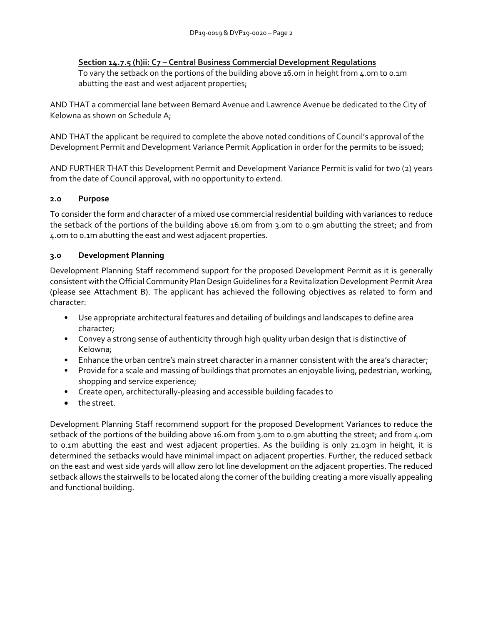## **Section 14.7.5 (h)ii: C7 – Central Business Commercial Development Regulations**

To vary the setback on the portions of the building above 16.0m in height from 4.0m to 0.1m abutting the east and west adjacent properties;

AND THAT a commercial lane between Bernard Avenue and Lawrence Avenue be dedicated to the City of Kelowna as shown on Schedule A;

AND THAT the applicant be required to complete the above noted conditions of Council's approval of the Development Permit and Development Variance Permit Application in order for the permits to be issued;

AND FURTHER THAT this Development Permit and Development Variance Permit is valid for two (2) years from the date of Council approval, with no opportunity to extend.

# **2.0 Purpose**

To consider the form and character of a mixed use commercial residential building with variances to reduce the setback of the portions of the building above 16.0m from 3.0m to 0.9m abutting the street; and from 4.0m to 0.1m abutting the east and west adjacent properties.

# **3.0 Development Planning**

Development Planning Staff recommend support for the proposed Development Permit as it is generally consistent with the Official Community Plan Design Guidelines for a Revitalization Development Permit Area (please see Attachment B). The applicant has achieved the following objectives as related to form and character:

- Use appropriate architectural features and detailing of buildings and landscapes to define area character;
- Convey a strong sense of authenticity through high quality urban design that is distinctive of Kelowna;
- Enhance the urban centre's main street character in a manner consistent with the area's character;
- Provide for a scale and massing of buildings that promotes an enjoyable living, pedestrian, working, shopping and service experience;
- Create open, architecturally-pleasing and accessible building facades to
- the street.

Development Planning Staff recommend support for the proposed Development Variances to reduce the setback of the portions of the building above 16.0m from 3.0m to 0.9m abutting the street; and from 4.0m to 0.1m abutting the east and west adjacent properties. As the building is only 21.03m in height, it is determined the setbacks would have minimal impact on adjacent properties. Further, the reduced setback on the east and west side yards will allow zero lot line development on the adjacent properties. The reduced setback allows the stairwells to be located along the corner of the building creating a more visually appealing and functional building.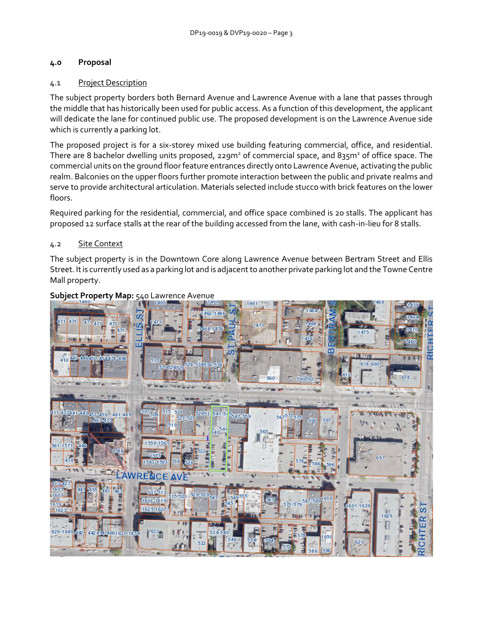# **4.0 Proposal**

## 4.1 Project Description

The subject property borders both Bernard Avenue and Lawrence Avenue with a lane that passes through the middle that has historically been used for public access. As a function of this development, the applicant will dedicate the lane for continued public use. The proposed development is on the Lawrence Avenue side which is currently a parking lot.

The proposed project is for a six-storey mixed use building featuring commercial, office, and residential. There are 8 bachelor dwelling units proposed, 229m<sup>2</sup> of commercial space, and 835m<sup>2</sup> of office space. The commercial units on the ground floor feature entrances directly onto Lawrence Avenue, activating the public realm. Balconies on the upper floors further promote interaction between the public and private realms and serve to provide architectural articulation. Materials selected include stucco with brick features on the lower floors.

Required parking for the residential, commercial, and office space combined is 20 stalls. The applicant has proposed 12 surface stalls at the rear of the building accessed from the lane, with cash-in-lieu for 8 stalls.

### 4.2 Site Context

The subject property is in the Downtown Core along Lawrence Avenue between Bertram Street and Ellis Street. It is currently used as a parking lot and is adjacent to another private parking lot and the Towne Centre Mall property.



### **Subject Property Map:** 540 Lawrence Avenue